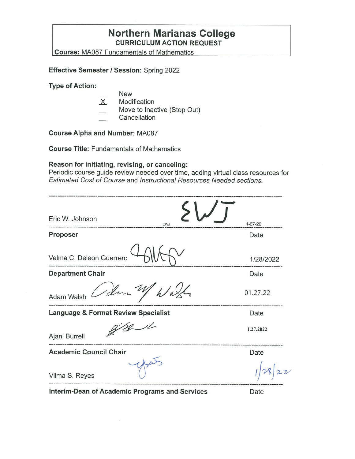### **Northern Marianas College CURRICULUM ACTION REQUEST**

**Course:** MA087 Fundamentals of Mathematics

**Effective Semester/ Session:** Spring 2022

**Type of Action:** 

- New
- $X$  Modification
- Move to Inactive (Stop Out)
- Cancellation

**Course Alpha and Number:** MA087

**Course Title:** Fundamentals of Mathematics

#### **Reason for initiating, revising, or canceling:**

Periodic course guide review needed over time, adding virtual class resources for Estimated Cost of Course and Instructional Resources Needed sections.

| Eric W. Johnson<br>EWJ                                | $1 - 27 - 22$ |
|-------------------------------------------------------|---------------|
| Proposer                                              | Date          |
| Velma C. Deleon Guerrero                              | 1/28/2022     |
| <b>Department Chair</b>                               | Date          |
| Sem My Wash<br>Adam Walsh                             | 01.27.22      |
| <b>Language &amp; Format Review Specialist</b>        | Date          |
| Ajani Burrell                                         | 1.27.2022     |
| <b>Academic Council Chair</b>                         | Date          |
| Vilma S. Reyes                                        |               |
| <b>Interim-Dean of Academic Programs and Services</b> | Date          |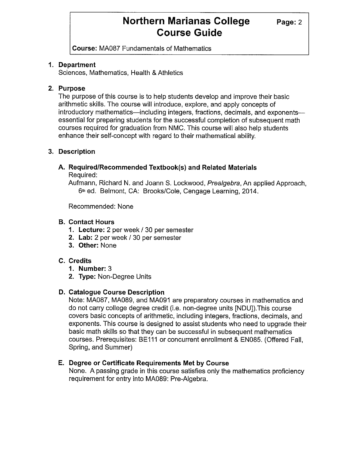**Course:** MA087 Fundamentals of Mathematics

#### **1. Department**

Sciences, Mathematics, Health & Athletics

#### **2. Purpose**

The purpose of this course is to help students develop and improve their basic arithmetic skills. The course will introduce, explore, and apply concepts of introductory mathematics—including integers, fractions, decimals, and exponents essential for preparing students for the successful completion of subsequent math courses required for graduation from NMC. This course will also help students enhance their self-concept with regard to their mathematical ability.

#### **3. Description**

# **A. Required/Recommended Textbook(s) and Related Materials**

Required:

Aufmann, Richard N. and Joann S. Lockwood, Prealgebra, An applied Approach, 6<sup>th</sup> ed. Belmont, CA: Brooks/Cole, Cengage Learning, 2014.

Recommended: None

#### **B. Contact Hours**

- **1. Lecture:** 2 per week/ 30 per semester
- **2. Lab:** 2 per week / 30 per semester
- **3. Other:** None

#### **C. Credits**

- **1. Number:** 3
- **2. Type:** Non-Degree Units

#### **D. Catalogue Course Description**

Note: MA087, MA089, and MA091 are preparatory courses in mathematics and do not carry college degree credit (i.e. non-degree units [NDU]).This course covers basic concepts of arithmetic, including integers, fractions, decimals, and exponents. This course is designed to assist students who need to upgrade their basic math skills so that they can be successful in subsequent mathematics courses. Prerequisites: BE111 or concurrent enrollment & EN085. (Offered Fall, Spring, and Summer)

#### **E. Degree or Certificate Requirements Met by Course**

None. A passing grade in this course satisfies only the mathematics proficiency requirement for entry into MA089: Pre-Algebra.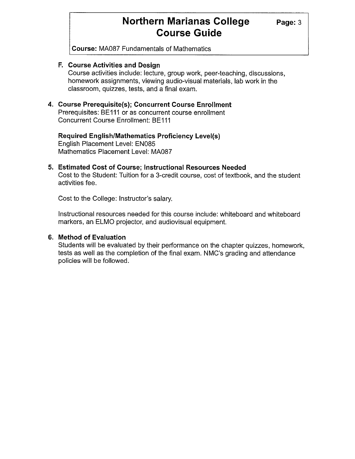**Course:** MA087 Fundamentals of Mathematics

#### **F. Course Activities and Design**

Course activities include: lecture, group work, peer-teaching, discussions, homework assignments, viewing audio-visual materials, lab work in the classroom, quizzes, tests, and a final exam.

#### **4. Course Prerequisite(s); Concurrent Course Enrollment**

Prerequisites: BE111 or as concurrent course enrollment Concurrent Course Enrollment: BE111

**Required English/Mathematics Proficiency Level(s)**  English Placement Level: EN085 Mathematics Placement Level: MA087

### **5. Estimated Cost of Course; Instructional Resources Needed**

Cost to the Student: Tuition for a 3-credit course, cost of textbook, and the student activities fee.

Cost to the College: Instructor's salary.

Instructional resources needed for this course include: whiteboard and whiteboard markers, an ELMO projector, and audiovisual equipment.

#### **6. Method of Evaluation**

Students will be evaluated by their performance on the chapter quizzes, homework, tests as well as the completion of the final exam. NMC's grading and attendance policies will be followed.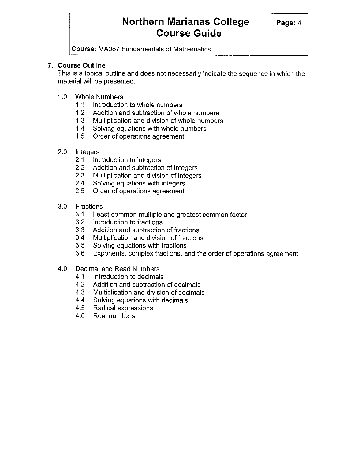**Course:** MA087 Fundamentals of Mathematics

#### **7. Course Outline**

This is a topical outline and does not necessarily indicate the sequence in which the material will be presented.

- 1.0 Whole Numbers
	- 1.1 Introduction to whole numbers
	- 1.2 Addition and subtraction of whole numbers
	- 1.3 Multiplication and division of whole numbers
	- 1.4 Solving equations with whole numbers
	- 1.5 Order of operations agreement
- 2.0 Integers
	- 2.1 Introduction to integers
	- 2.2 Addition and subtraction of integers
	- 2.3 Multiplication and division of integers
	- 2.4 Solving equations with integers
	- 2.5 Order of operations agreement
- 3.0 Fractions
	- 3.1 Least common multiple and greatest common factor
	- 3.2 Introduction to fractions
	- 3.3 Addition and subtraction of fractions
	- 3.4 Multiplication and division of fractions
	- 3.5 Solving equations with fractions
	- 3.6 Exponents, complex fractions, and the order of operations agreement
- 4.0 Decimal and Read Numbers
	- 4.1 Introduction to decimals
	- 4.2 Addition and subtraction of decimals
	- 4.3 Multiplication and division of decimals
	- 4.4 Solving equations with decimals
	- 4.5 Radical expressions
	- 4.6 Real numbers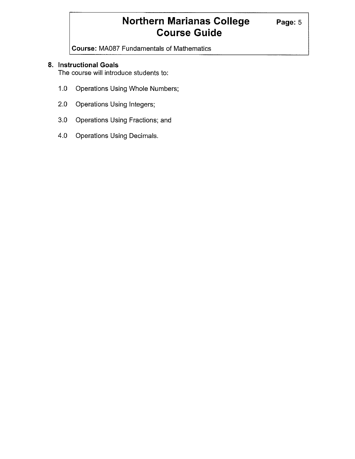**Course:** MA087 Fundamentals of Mathematics

#### **8. Instructional Goals**

The course will introduce students to:

- 1.0 Operations Using Whole Numbers;
- 2.0 Operations Using Integers;
- 3.0 Operations Using Fractions; and
- 4.0 Operations Using Decimals.